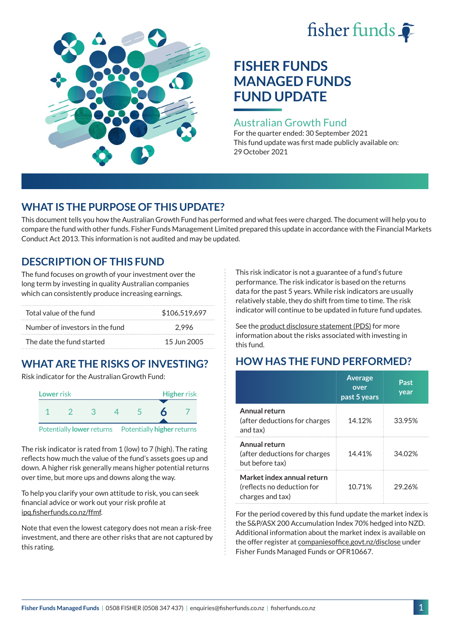# fisher funds



# **FISHER FUNDS MANAGED FUNDS FUND UPDATE**

## Australian Growth Fund

For the quarter ended: 30 September 2021 This fund update was first made publicly available on: 29 October 2021

# **WHAT IS THE PURPOSE OF THIS UPDATE?**

This document tells you how the Australian Growth Fund has performed and what fees were charged. The document will help you to compare the fund with other funds. Fisher Funds Management Limited prepared this update in accordance with the Financial Markets Conduct Act 2013. This information is not audited and may be updated.

# **DESCRIPTION OF THIS FUND**

The fund focuses on growth of your investment over the long term by investing in quality Australian companies which can consistently produce increasing earnings.

| Total value of the fund         | \$106,519,697 |  |  |
|---------------------------------|---------------|--|--|
| Number of investors in the fund | 2.996         |  |  |
| The date the fund started       | 15 Jun 2005   |  |  |

# **WHAT ARE THE RISKS OF INVESTING?**

Risk indicator for the Australian Growth Fund:



The risk indicator is rated from 1 (low) to 7 (high). The rating reflects how much the value of the fund's assets goes up and down. A higher risk generally means higher potential returns over time, but more ups and downs along the way.

To help you clarify your own attitude to risk, you can seek financial advice or work out your risk profile at [ipq.fisherfunds.co.nz/ffmf](https://ipq.fisherfunds.co.nz/ffmf).

Note that even the lowest category does not mean a risk-free investment, and there are other risks that are not captured by this rating.

This risk indicator is not a guarantee of a fund's future performance. The risk indicator is based on the returns data for the past 5 years. While risk indicators are usually relatively stable, they do shift from time to time. The risk indicator will continue to be updated in future fund updates.

See the [product disclosure statement \(PDS\)](https://fisherfunds.co.nz/assets/PDS/Fisher-Funds-Managed-Funds-PDS.pdf) for more information about the risks associated with investing in this fund.

# **HOW HAS THE FUND PERFORMED?**

|                                                                              | <b>Average</b><br>over<br>past 5 years | Past<br>year |
|------------------------------------------------------------------------------|----------------------------------------|--------------|
| Annual return<br>(after deductions for charges<br>and tax)                   | 14.12%                                 | 33.95%       |
| Annual return<br>(after deductions for charges<br>but before tax)            | 14.41%                                 | 34.02%       |
| Market index annual return<br>(reflects no deduction for<br>charges and tax) | 10.71%                                 | 29 26%       |

For the period covered by this fund update the market index is the S&P/ASX 200 Accumulation Index 70% hedged into NZD. Additional information about the market index is available on the offer register at [companiesoffice.govt.nz/disclose](http://companiesoffice.govt.nz/disclose) under Fisher Funds Managed Funds or OFR10667.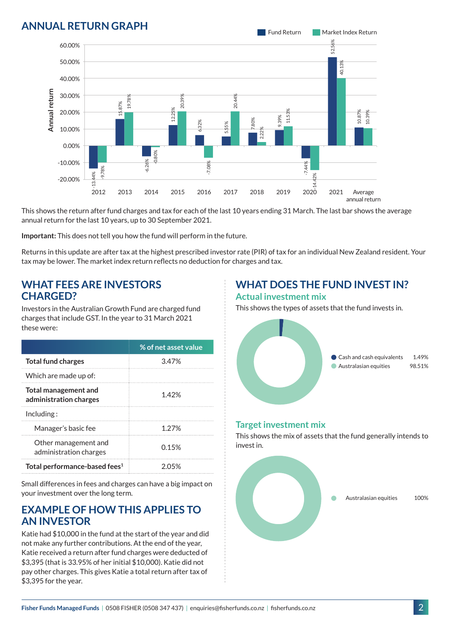## **ANNUAL RETURN GRAPH**



This shows the return after fund charges and tax for each of the last 10 years ending 31 March. The last bar shows the average annual return for the last 10 years, up to 30 September 2021.

**Important:** This does not tell you how the fund will perform in the future.

Returns in this update are after tax at the highest prescribed investor rate (PIR) of tax for an individual New Zealand resident. Your tax may be lower. The market index return reflects no deduction for charges and tax.

#### **WHAT FEES ARE INVESTORS CHARGED?**

Investors in the Australian Growth Fund are charged fund charges that include GST. In the year to 31 March 2021 these were:

|                                                       | % of net asset value |  |
|-------------------------------------------------------|----------------------|--|
| <b>Total fund charges</b>                             | 3.47%                |  |
| Which are made up of:                                 |                      |  |
| <b>Total management and</b><br>administration charges | 142%                 |  |
| Inding:                                               |                      |  |
| Manager's basic fee                                   | 1 27%                |  |
| Other management and<br>administration charges        | 0.15%                |  |
| Total performance-based fees <sup>1</sup>             | 2 05%                |  |

Small differences in fees and charges can have a big impact on your investment over the long term.

#### **EXAMPLE OF HOW THIS APPLIES TO AN INVESTOR**

Katie had \$10,000 in the fund at the start of the year and did not make any further contributions. At the end of the year, Katie received a return after fund charges were deducted of \$3,395 (that is 33.95% of her initial \$10,000). Katie did not pay other charges. This gives Katie a total return after tax of \$3,395 for the year.

# **WHAT DOES THE FUND INVEST IN?**

#### **Actual investment mix**

This shows the types of assets that the fund invests in.



#### **Target investment mix**

This shows the mix of assets that the fund generally intends to invest in.